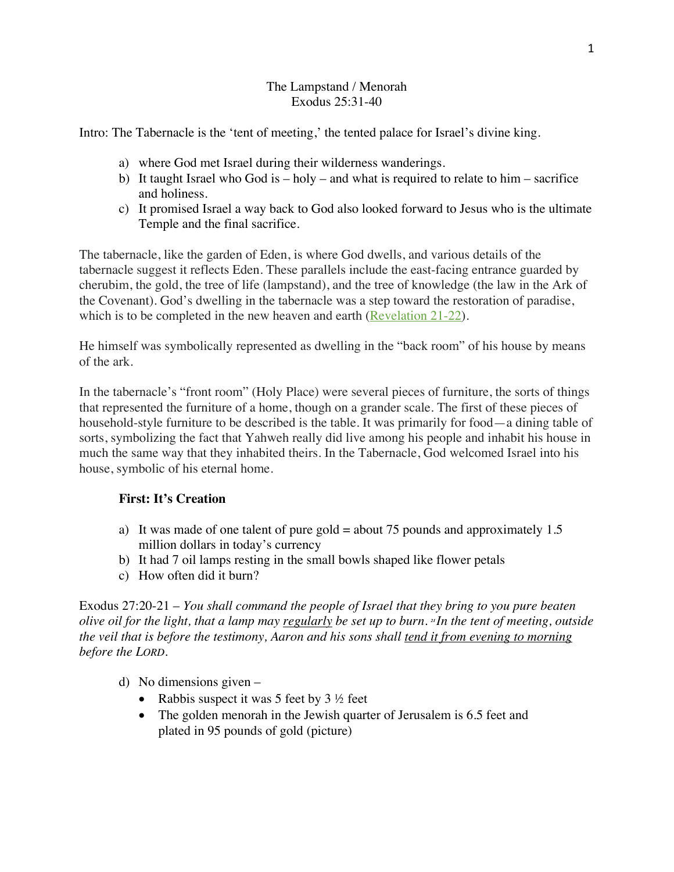## The Lampstand / Menorah Exodus 25:31-40

Intro: The Tabernacle is the 'tent of meeting,' the tented palace for Israel's divine king.

- a) where God met Israel during their wilderness wanderings.
- b) It taught Israel who God is holy and what is required to relate to him sacrifice and holiness.
- c) It promised Israel a way back to God also looked forward to Jesus who is the ultimate Temple and the final sacrifice.

The tabernacle, like the garden of Eden, is where God dwells, and various details of the tabernacle suggest it reflects Eden. These parallels include the east-facing entrance guarded by cherubim, the gold, the tree of life (lampstand), and the tree of knowledge (the law in the Ark of the Covenant). God's dwelling in the tabernacle was a step toward the restoration of paradise, which is to be completed in the new heaven and earth (Revelation 21-22).

He himself was symbolically represented as dwelling in the "back room" of his house by means of the ark.

In the tabernacle's "front room" (Holy Place) were several pieces of furniture, the sorts of things that represented the furniture of a home, though on a grander scale. The first of these pieces of household-style furniture to be described is the table. It was primarily for food—a dining table of sorts, symbolizing the fact that Yahweh really did live among his people and inhabit his house in much the same way that they inhabited theirs. In the Tabernacle, God welcomed Israel into his house, symbolic of his eternal home.

# **First: It's Creation**

- a) It was made of one talent of pure gold = about 75 pounds and approximately 1.5 million dollars in today's currency
- b) It had 7 oil lamps resting in the small bowls shaped like flower petals
- c) How often did it burn?

Exodus 27:20-21 – *You shall command the people of Israel that they bring to you pure beaten olive oil for the light, that a lamp may regularly be set up to burn. <sup>21</sup> In the tent of meeting, outside the veil that is before the testimony, Aaron and his sons shall tend it from evening to morning before the LORD.*

- d) No dimensions given
	- Rabbis suspect it was 5 feet by  $3 \frac{1}{2}$  feet
	- The golden menorah in the Jewish quarter of Jerusalem is 6.5 feet and plated in 95 pounds of gold (picture)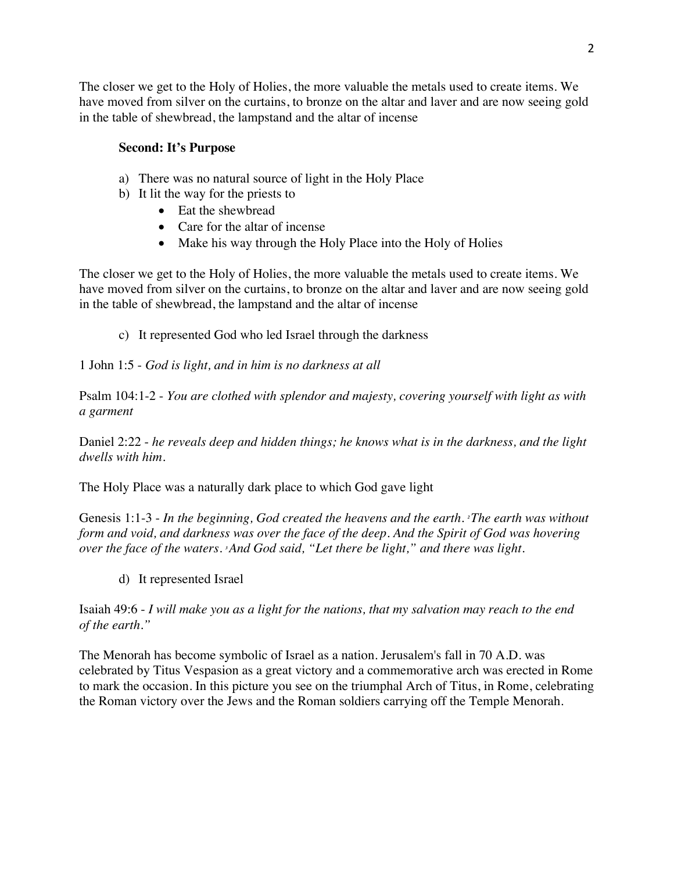The closer we get to the Holy of Holies, the more valuable the metals used to create items. We have moved from silver on the curtains, to bronze on the altar and laver and are now seeing gold in the table of shewbread, the lampstand and the altar of incense

## **Second: It's Purpose**

- a) There was no natural source of light in the Holy Place
- b) It lit the way for the priests to
	- Eat the shewbread
	- Care for the altar of incense
	- Make his way through the Holy Place into the Holy of Holies

The closer we get to the Holy of Holies, the more valuable the metals used to create items. We have moved from silver on the curtains, to bronze on the altar and laver and are now seeing gold in the table of shewbread, the lampstand and the altar of incense

c) It represented God who led Israel through the darkness

1 John 1:5 - *God is light, and in him is no darkness at all*

Psalm 104:1-2 - *You are clothed with splendor and majesty, covering yourself with light as with a garment*

Daniel 2:22 - *he reveals deep and hidden things; he knows what is in the darkness, and the light dwells with him.*

The Holy Place was a naturally dark place to which God gave light

Genesis 1:1-3 - *In the beginning, God created the heavens and the earth. <sup>2</sup> The earth was without form and void, and darkness was over the face of the deep. And the Spirit of God was hovering over the face of the waters. <sup>3</sup> And God said, "Let there be light," and there was light.*

d) It represented Israel

Isaiah 49:6 - *I will make you as a light for the nations, that my salvation may reach to the end of the earth."*

The Menorah has become symbolic of Israel as a nation. Jerusalem's fall in 70 A.D. was celebrated by Titus Vespasion as a great victory and a commemorative arch was erected in Rome to mark the occasion. In this picture you see on the triumphal Arch of Titus, in Rome, celebrating the Roman victory over the Jews and the Roman soldiers carrying off the Temple Menorah.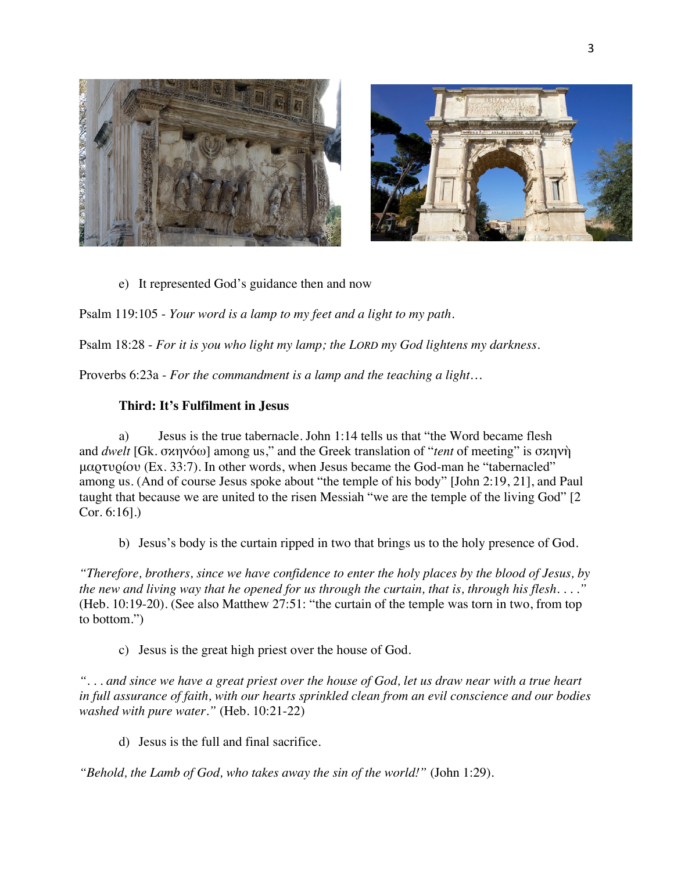



Psalm 119:105 - *Your word is a lamp to my feet and a light to my path.*

Psalm 18:28 - *For it is you who light my lamp; the LORD my God lightens my darkness.*

Proverbs 6:23a - *For the commandment is a lamp and the teaching a light…*

#### **Third: It's Fulfilment in Jesus**

CONSTRUCTION OF THE CONSTRUCTION

a) Jesus is the true tabernacle. John 1:14 tells us that "the Word became flesh and *dwelt* [Gk. σκηνόω] among us," and the Greek translation of "*tent* of meeting" is σκηνὴ μαρτυρίου (Ex. 33:7). In other words, when Jesus became the God-man he "tabernacled" among us. (And of course Jesus spoke about "the temple of his body" [John 2:19, 21], and Paul taught that because we are united to the risen Messiah "we are the temple of the living God" [2 Cor. 6:16].)

b) Jesus's body is the curtain ripped in two that brings us to the holy presence of God.

*"Therefore, brothers, since we have confidence to enter the holy places by the blood of Jesus, by the new and living way that he opened for us through the curtain, that is, through his flesh. . . ."*  (Heb. 10:19-20). (See also Matthew 27:51: "the curtain of the temple was torn in two, from top to bottom.")

c) Jesus is the great high priest over the house of God.

*". . . and since we have a great priest over the house of God, let us draw near with a true heart in full assurance of faith, with our hearts sprinkled clean from an evil conscience and our bodies washed with pure water."* (Heb. 10:21-22)

d) Jesus is the full and final sacrifice.

*"Behold, the Lamb of God, who takes away the sin of the world!"* (John 1:29).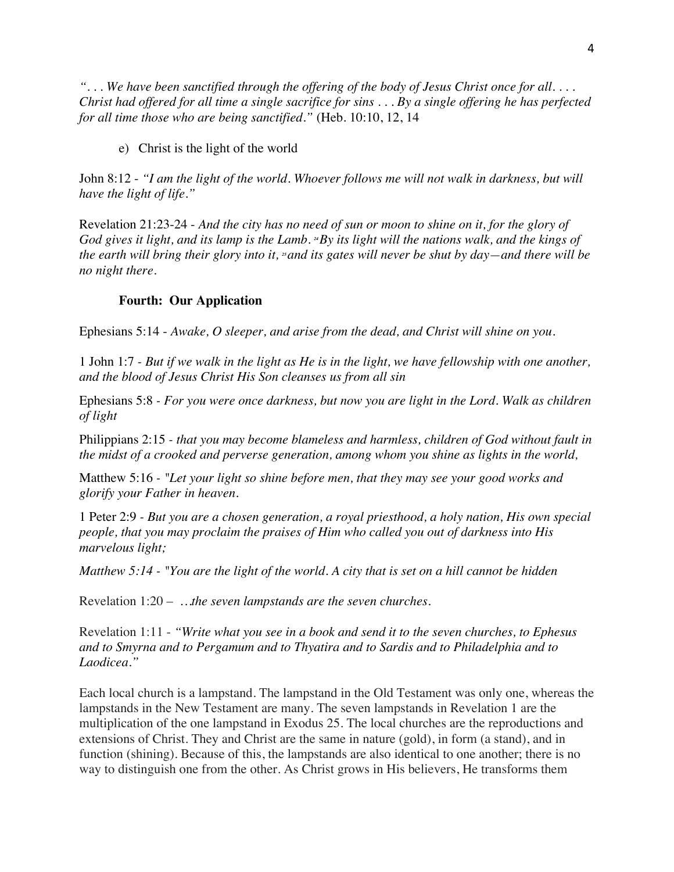*". . . We have been sanctified through the offering of the body of Jesus Christ once for all. . . . Christ had offered for all time a single sacrifice for sins . . . By a single offering he has perfected for all time those who are being sanctified."* (Heb. 10:10, 12, 14

e) Christ is the light of the world

John 8:12 - *"I am the light of the world. Whoever follows me will not walk in darkness, but will have the light of life."*

Revelation 21:23-24 - *And the city has no need of sun or moon to shine on it, for the glory of God gives it light, and its lamp is the Lamb. <sup>2</sup>By its light will the nations walk, and the kings of the earth will bring their glory into it, <sup>25</sup> and its gates will never be shut by day—and there will be no night there.*

## **Fourth: Our Application**

Ephesians 5:14 - *Awake, O sleeper, and arise from the dead, and Christ will shine on you.*

1 John 1:7 *- But if we walk in the light as He is in the light, we have fellowship with one another, and the blood of Jesus Christ His Son cleanses us from all sin* 

Ephesians 5:8 *- For you were once darkness, but now you are light in the Lord. Walk as children of light*

Philippians 2:15 *- that you may become blameless and harmless, children of God without fault in the midst of a crooked and perverse generation, among whom you shine as lights in the world,*

Matthew 5:16 *- "Let your light so shine before men, that they may see your good works and glorify your Father in heaven.*

1 Peter 2:9 *- But you are a chosen generation, a royal priesthood, a holy nation, His own special people, that you may proclaim the praises of Him who called you out of darkness into His marvelous light;*

*Matthew 5:14 - "You are the light of the world. A city that is set on a hill cannot be hidden*

Revelation 1:20 – *…the seven lampstands are the seven churches.*

Revelation 1:11 - *"Write what you see in a book and send it to the seven churches, to Ephesus and to Smyrna and to Pergamum and to Thyatira and to Sardis and to Philadelphia and to Laodicea."*

Each local church is a lampstand. The lampstand in the Old Testament was only one, whereas the lampstands in the New Testament are many. The seven lampstands in Revelation 1 are the multiplication of the one lampstand in Exodus 25. The local churches are the reproductions and extensions of Christ. They and Christ are the same in nature (gold), in form (a stand), and in function (shining). Because of this, the lampstands are also identical to one another; there is no way to distinguish one from the other. As Christ grows in His believers, He transforms them